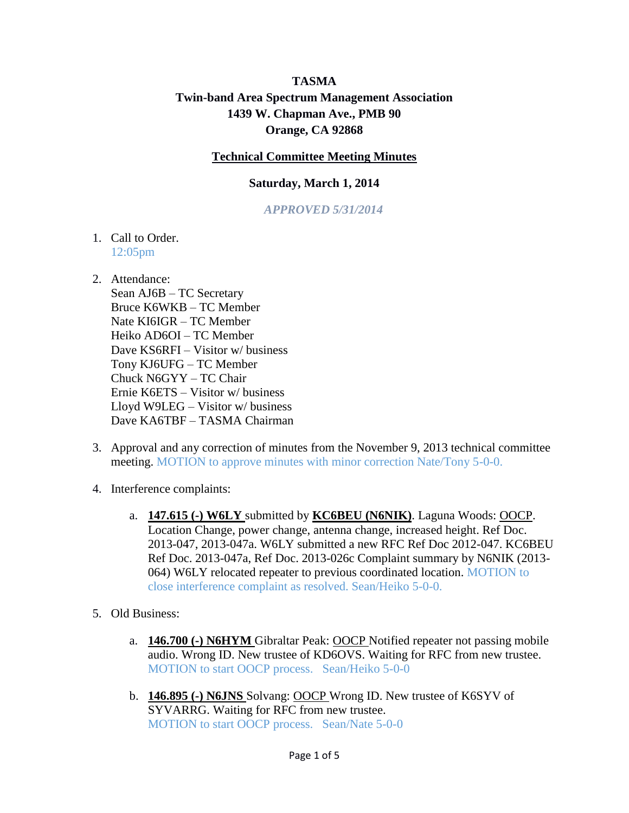## **TASMA Twin-band Area Spectrum Management Association 1439 W. Chapman Ave., PMB 90 Orange, CA 92868**

## **Technical Committee Meeting Minutes**

## **Saturday, March 1, 2014**

*APPROVED 5/31/2014*

- 1. Call to Order. 12:05pm
- 2. Attendance:

Sean AJ6B – TC Secretary Bruce K6WKB – TC Member Nate KI6IGR – TC Member Heiko AD6OI – TC Member Dave KS6RFI – Visitor w/ business Tony KJ6UFG – TC Member Chuck N6GYY – TC Chair Ernie K6ETS – Visitor w/ business Lloyd W9LEG – Visitor w/ business Dave KA6TBF – TASMA Chairman

- 3. Approval and any correction of minutes from the November 9, 2013 technical committee meeting. MOTION to approve minutes with minor correction Nate/Tony 5-0-0.
- 4. Interference complaints:
	- a. **147.615 (-) W6LY** submitted by **KC6BEU (N6NIK)**. Laguna Woods: OOCP. Location Change, power change, antenna change, increased height. Ref Doc. 2013-047, 2013-047a. W6LY submitted a new RFC Ref Doc 2012-047. KC6BEU Ref Doc. 2013-047a, Ref Doc. 2013-026c Complaint summary by N6NIK (2013- 064) W6LY relocated repeater to previous coordinated location. MOTION to close interference complaint as resolved. Sean/Heiko 5-0-0.
- 5. Old Business:
	- a. **146.700 (-) N6HYM** Gibraltar Peak: OOCP Notified repeater not passing mobile audio. Wrong ID. New trustee of KD6OVS. Waiting for RFC from new trustee. MOTION to start OOCP process. Sean/Heiko 5-0-0
	- b. **146.895 (-) N6JNS** Solvang: OOCP Wrong ID. New trustee of K6SYV of SYVARRG. Waiting for RFC from new trustee. MOTION to start OOCP process. Sean/Nate 5-0-0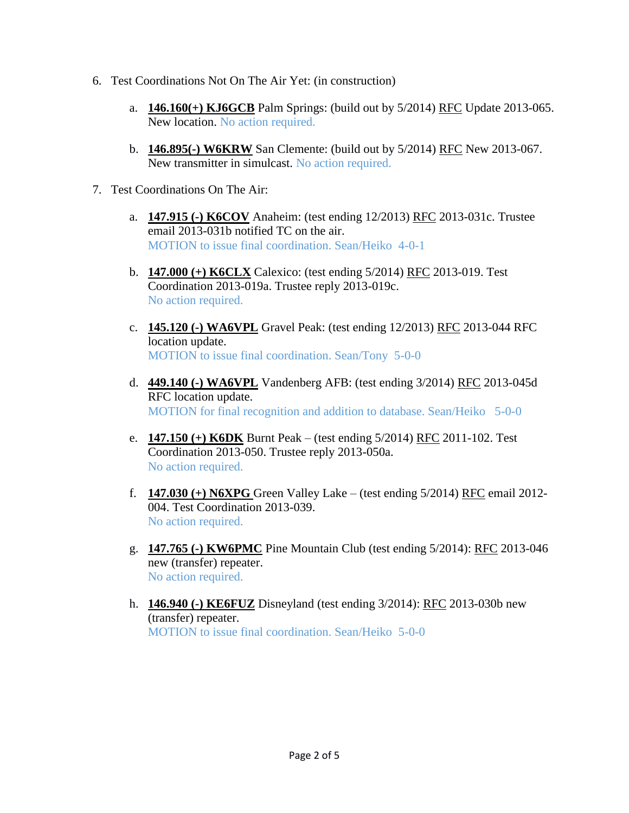- 6. Test Coordinations Not On The Air Yet: (in construction)
	- a. **146.160(+) KJ6GCB** Palm Springs: (build out by 5/2014) RFC Update 2013-065. New location. No action required.
	- b. **146.895(-) W6KRW** San Clemente: (build out by 5/2014) RFC New 2013-067. New transmitter in simulcast. No action required.
- 7. Test Coordinations On The Air:
	- a. **147.915 (-) K6COV** Anaheim: (test ending 12/2013) RFC 2013-031c. Trustee email 2013-031b notified TC on the air. MOTION to issue final coordination. Sean/Heiko 4-0-1
	- b. **147.000 (+) K6CLX** Calexico: (test ending 5/2014) RFC 2013-019. Test Coordination 2013-019a. Trustee reply 2013-019c. No action required.
	- c. **145.120 (-) WA6VPL** Gravel Peak: (test ending 12/2013) RFC 2013-044 RFC location update. MOTION to issue final coordination. Sean/Tony 5-0-0
	- d. **449.140 (-) WA6VPL** Vandenberg AFB: (test ending 3/2014) RFC 2013-045d RFC location update. MOTION for final recognition and addition to database. Sean/Heiko 5-0-0
	- e. **147.150 (+) K6DK** Burnt Peak (test ending 5/2014) RFC 2011-102. Test Coordination 2013-050. Trustee reply 2013-050a. No action required.
	- f. **147.030 (+) N6XPG** Green Valley Lake (test ending 5/2014) RFC email 2012- 004. Test Coordination 2013-039. No action required.
	- g. **147.765 (-) KW6PMC** Pine Mountain Club (test ending 5/2014): RFC 2013-046 new (transfer) repeater. No action required.
	- h. **146.940 (-) KE6FUZ** Disneyland (test ending 3/2014): RFC 2013-030b new (transfer) repeater. MOTION to issue final coordination. Sean/Heiko 5-0-0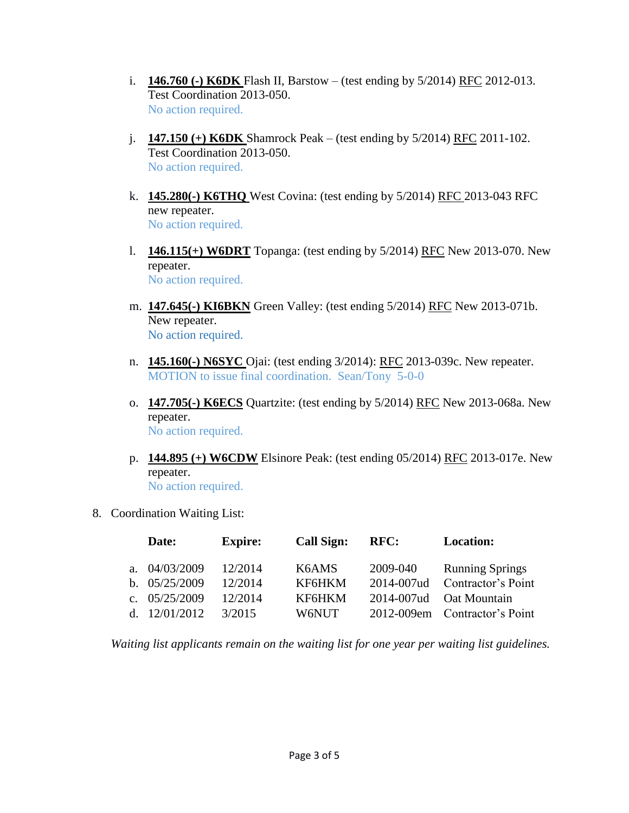- i. **146.760 (-) K6DK** Flash II, Barstow (test ending by 5/2014) RFC 2012-013. Test Coordination 2013-050. No action required.
- j. **147.150 (+) K6DK** Shamrock Peak (test ending by 5/2014) RFC 2011-102. Test Coordination 2013-050. No action required.
- k. **145.280(-) K6THQ** West Covina: (test ending by 5/2014) RFC 2013-043 RFC new repeater. No action required.
- l. **146.115(+) W6DRT** Topanga: (test ending by 5/2014) RFC New 2013-070. New repeater. No action required.
- m. **147.645(-) KI6BKN** Green Valley: (test ending 5/2014) RFC New 2013-071b. New repeater. No action required.
- n. **145.160(-) N6SYC** Ojai: (test ending 3/2014): RFC 2013-039c. New repeater. MOTION to issue final coordination. Sean/Tony 5-0-0
- o. **147.705(-) K6ECS** Quartzite: (test ending by 5/2014) RFC New 2013-068a. New repeater. No action required.
- p. **144.895 (+) W6CDW** Elsinore Peak: (test ending 05/2014) RFC 2013-017e. New repeater. No action required.
- 8. Coordination Waiting List:

|     | Date:           | <b>Expire:</b> | <b>Call Sign:</b> | <b>RFC:</b> | <b>Location:</b>              |
|-----|-----------------|----------------|-------------------|-------------|-------------------------------|
|     | a. $04/03/2009$ | 12/2014        | K6AMS             | 2009-040    | <b>Running Springs</b>        |
|     | b. $05/25/2009$ | 12/2014        | KF6HKM            | 2014-007ud  | Contractor's Point            |
|     | c. $05/25/2009$ | 12/2014        | KF6HKM            | 2014-007ud  | Oat Mountain                  |
| d – | 12/01/2012      | 3/2015         | W6NUT-            |             | 2012-009em Contractor's Point |

*Waiting list applicants remain on the waiting list for one year per waiting list guidelines.*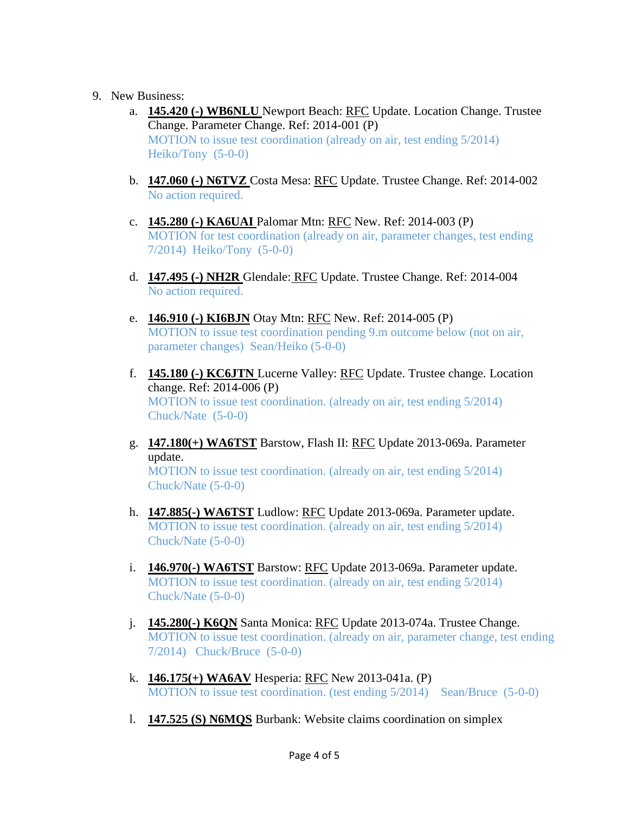- 9. New Business:
	- a. **145.420 (-) WB6NLU** Newport Beach: RFC Update. Location Change. Trustee Change. Parameter Change. Ref: 2014-001 (P) MOTION to issue test coordination (already on air, test ending 5/2014) Heiko/Tony (5-0-0)
	- b. **147.060 (-) N6TVZ** Costa Mesa: RFC Update. Trustee Change. Ref: 2014-002 No action required.
	- c. **145.280 (-) KA6UAI** Palomar Mtn: RFC New. Ref: 2014-003 (P) MOTION for test coordination (already on air, parameter changes, test ending 7/2014) Heiko/Tony (5-0-0)
	- d. **147.495 (-) NH2R** Glendale: RFC Update. Trustee Change. Ref: 2014-004 No action required.
	- e. **146.910 (-) KI6BJN** Otay Mtn: RFC New. Ref: 2014-005 (P) MOTION to issue test coordination pending 9.m outcome below (not on air, parameter changes) Sean/Heiko (5-0-0)
	- f. **145.180 (-) KC6JTN** Lucerne Valley: RFC Update. Trustee change. Location change. Ref: 2014-006 (P) MOTION to issue test coordination. (already on air, test ending 5/2014) Chuck/Nate (5-0-0)
	- g. **147.180(+) WA6TST** Barstow, Flash II: RFC Update 2013-069a. Parameter update.

MOTION to issue test coordination. (already on air, test ending 5/2014) Chuck/Nate (5-0-0)

- h. **147.885(-) WA6TST** Ludlow: RFC Update 2013-069a. Parameter update. MOTION to issue test coordination. (already on air, test ending 5/2014) Chuck/Nate (5-0-0)
- i. **146.970(-) WA6TST** Barstow: RFC Update 2013-069a. Parameter update. MOTION to issue test coordination. (already on air, test ending 5/2014) Chuck/Nate (5-0-0)
- j. **145.280(-) K6QN** Santa Monica: RFC Update 2013-074a. Trustee Change. MOTION to issue test coordination. (already on air, parameter change, test ending 7/2014) Chuck/Bruce (5-0-0)
- k. **146.175(+) WA6AV** Hesperia: RFC New 2013-041a. (P) MOTION to issue test coordination. (test ending 5/2014) Sean/Bruce (5-0-0)
- l. **147.525 (S) N6MQS** Burbank: Website claims coordination on simplex